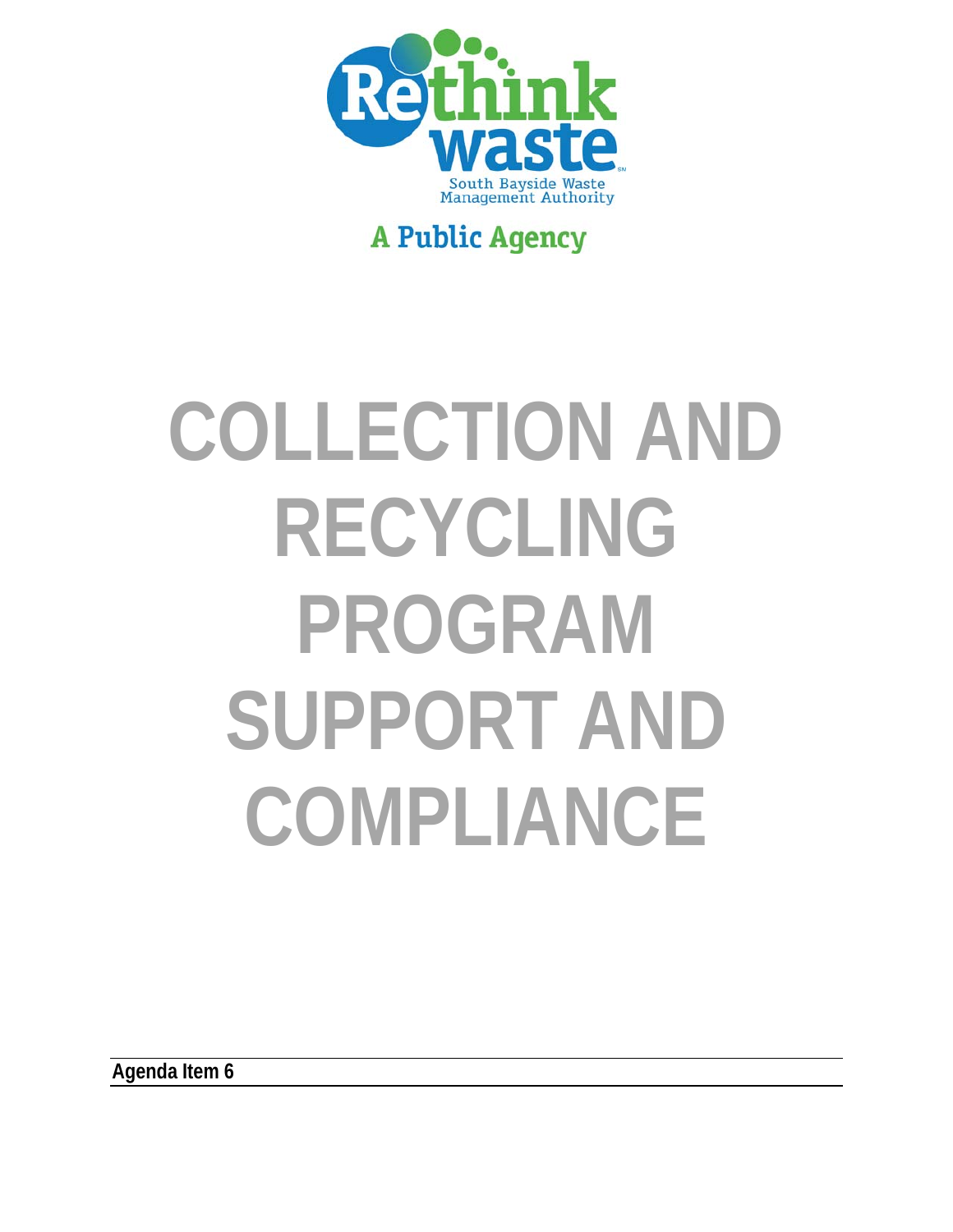

## **A Public Agency**

# **COLLECTION AND RECYCLING PROGRAM SUPPORT AND COMPLIANCE**

**Agenda Item 6**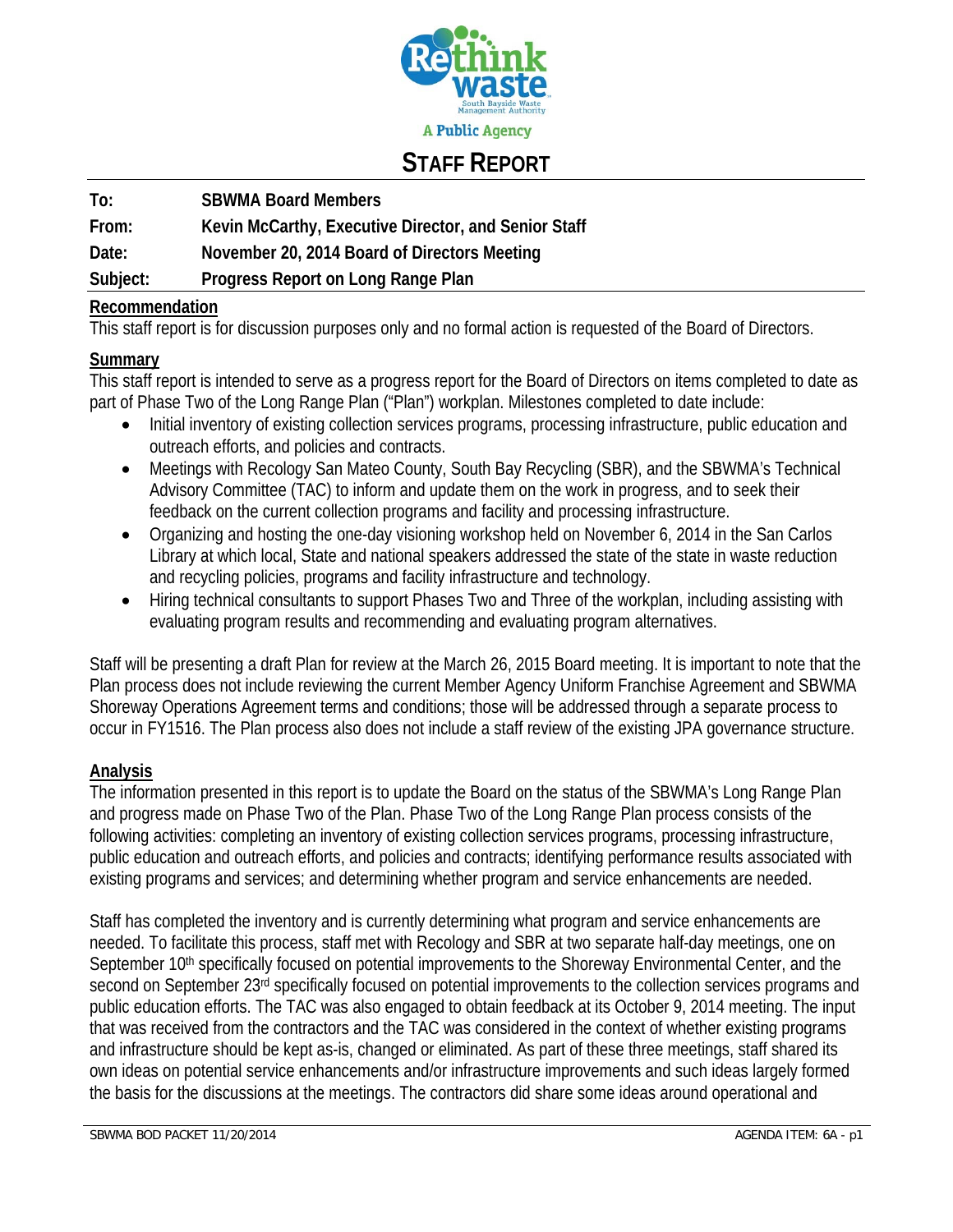

## **STAFF REPORT**

#### **To: SBWMA Board Members**

**From: Kevin McCarthy, Executive Director, and Senior Staff** 

**Date: November 20, 2014 Board of Directors Meeting** 

**Subject: Progress Report on Long Range Plan** 

#### **Recommendation**

This staff report is for discussion purposes only and no formal action is requested of the Board of Directors.

#### **Summary**

This staff report is intended to serve as a progress report for the Board of Directors on items completed to date as part of Phase Two of the Long Range Plan ("Plan") workplan. Milestones completed to date include:

- Initial inventory of existing collection services programs, processing infrastructure, public education and outreach efforts, and policies and contracts.
- Meetings with Recology San Mateo County, South Bay Recycling (SBR), and the SBWMA's Technical Advisory Committee (TAC) to inform and update them on the work in progress, and to seek their feedback on the current collection programs and facility and processing infrastructure.
- Organizing and hosting the one-day visioning workshop held on November 6, 2014 in the San Carlos Library at which local, State and national speakers addressed the state of the state in waste reduction and recycling policies, programs and facility infrastructure and technology.
- Hiring technical consultants to support Phases Two and Three of the workplan, including assisting with evaluating program results and recommending and evaluating program alternatives.

Staff will be presenting a draft Plan for review at the March 26, 2015 Board meeting. It is important to note that the Plan process does not include reviewing the current Member Agency Uniform Franchise Agreement and SBWMA Shoreway Operations Agreement terms and conditions; those will be addressed through a separate process to occur in FY1516. The Plan process also does not include a staff review of the existing JPA governance structure.

#### **Analysis**

The information presented in this report is to update the Board on the status of the SBWMA's Long Range Plan and progress made on Phase Two of the Plan. Phase Two of the Long Range Plan process consists of the following activities: completing an inventory of existing collection services programs, processing infrastructure, public education and outreach efforts, and policies and contracts; identifying performance results associated with existing programs and services; and determining whether program and service enhancements are needed.

Staff has completed the inventory and is currently determining what program and service enhancements are needed. To facilitate this process, staff met with Recology and SBR at two separate half-day meetings, one on September 10<sup>th</sup> specifically focused on potential improvements to the Shoreway Environmental Center, and the second on September 23rd specifically focused on potential improvements to the collection services programs and public education efforts. The TAC was also engaged to obtain feedback at its October 9, 2014 meeting. The input that was received from the contractors and the TAC was considered in the context of whether existing programs and infrastructure should be kept as-is, changed or eliminated. As part of these three meetings, staff shared its own ideas on potential service enhancements and/or infrastructure improvements and such ideas largely formed the basis for the discussions at the meetings. The contractors did share some ideas around operational and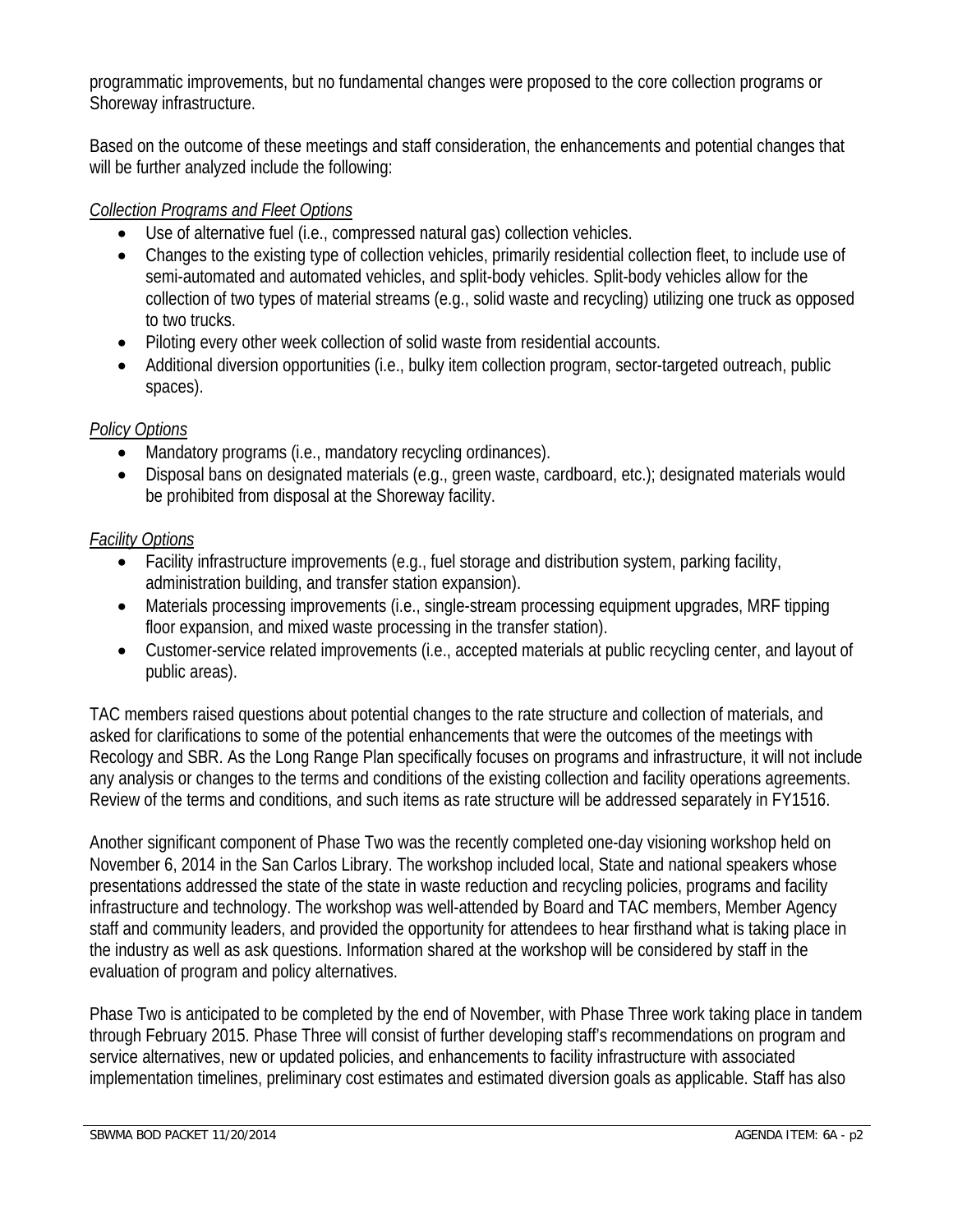programmatic improvements, but no fundamental changes were proposed to the core collection programs or Shoreway infrastructure.

Based on the outcome of these meetings and staff consideration, the enhancements and potential changes that will be further analyzed include the following:

#### *Collection Programs and Fleet Options*

- Use of alternative fuel (i.e., compressed natural gas) collection vehicles.
- Changes to the existing type of collection vehicles, primarily residential collection fleet, to include use of semi-automated and automated vehicles, and split-body vehicles. Split-body vehicles allow for the collection of two types of material streams (e.g., solid waste and recycling) utilizing one truck as opposed to two trucks.
- Piloting every other week collection of solid waste from residential accounts.
- Additional diversion opportunities (i.e., bulky item collection program, sector-targeted outreach, public spaces).

#### *Policy Options*

- Mandatory programs (i.e., mandatory recycling ordinances).
- Disposal bans on designated materials (e.g., green waste, cardboard, etc.); designated materials would be prohibited from disposal at the Shoreway facility.

#### *Facility Options*

- Facility infrastructure improvements (e.g., fuel storage and distribution system, parking facility, administration building, and transfer station expansion).
- Materials processing improvements (i.e., single-stream processing equipment upgrades, MRF tipping floor expansion, and mixed waste processing in the transfer station).
- Customer-service related improvements (i.e., accepted materials at public recycling center, and layout of public areas).

TAC members raised questions about potential changes to the rate structure and collection of materials, and asked for clarifications to some of the potential enhancements that were the outcomes of the meetings with Recology and SBR. As the Long Range Plan specifically focuses on programs and infrastructure, it will not include any analysis or changes to the terms and conditions of the existing collection and facility operations agreements. Review of the terms and conditions, and such items as rate structure will be addressed separately in FY1516.

Another significant component of Phase Two was the recently completed one-day visioning workshop held on November 6, 2014 in the San Carlos Library. The workshop included local, State and national speakers whose presentations addressed the state of the state in waste reduction and recycling policies, programs and facility infrastructure and technology. The workshop was well-attended by Board and TAC members, Member Agency staff and community leaders, and provided the opportunity for attendees to hear firsthand what is taking place in the industry as well as ask questions. Information shared at the workshop will be considered by staff in the evaluation of program and policy alternatives.

Phase Two is anticipated to be completed by the end of November, with Phase Three work taking place in tandem through February 2015. Phase Three will consist of further developing staff's recommendations on program and service alternatives, new or updated policies, and enhancements to facility infrastructure with associated implementation timelines, preliminary cost estimates and estimated diversion goals as applicable. Staff has also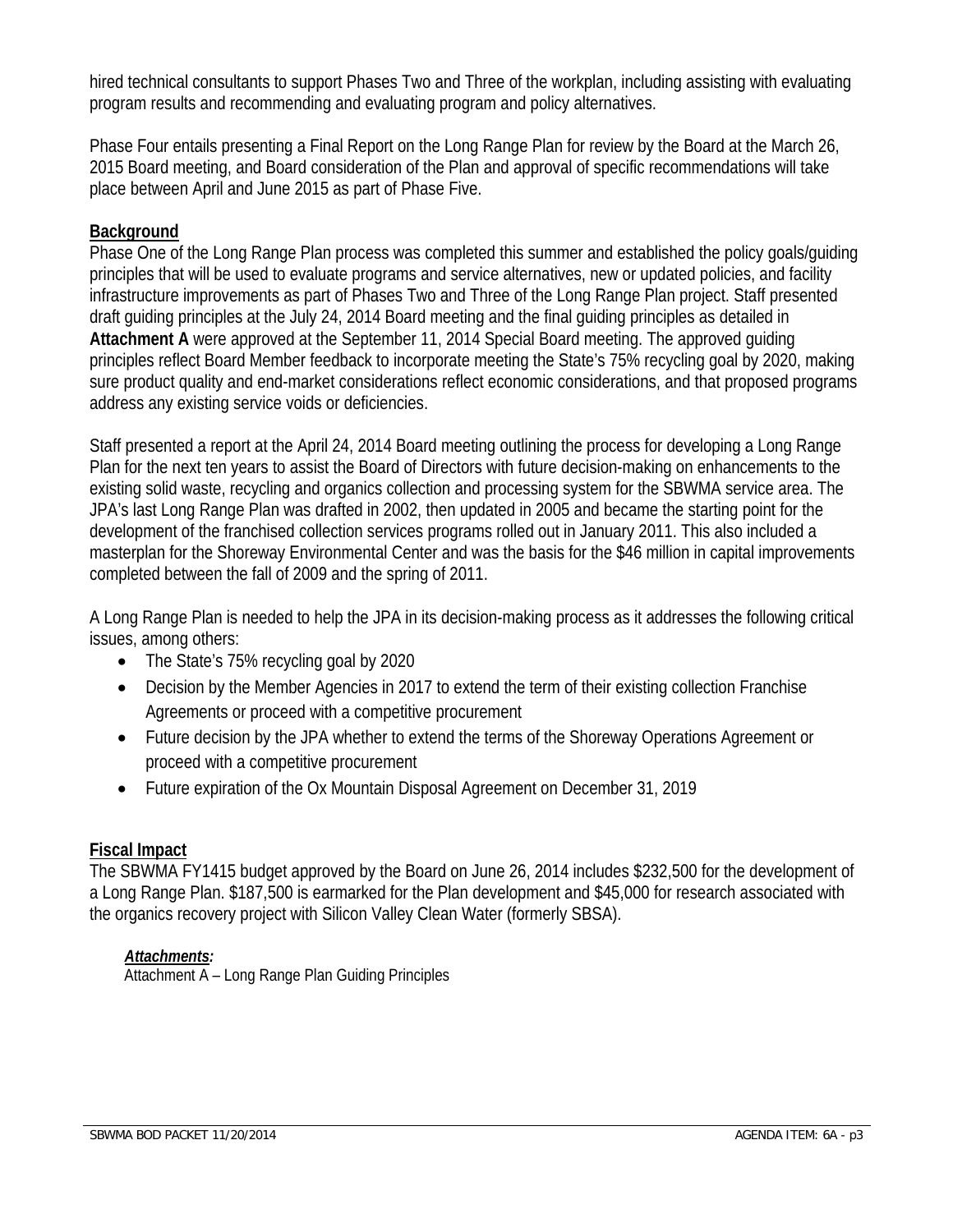hired technical consultants to support Phases Two and Three of the workplan, including assisting with evaluating program results and recommending and evaluating program and policy alternatives.

Phase Four entails presenting a Final Report on the Long Range Plan for review by the Board at the March 26, 2015 Board meeting, and Board consideration of the Plan and approval of specific recommendations will take place between April and June 2015 as part of Phase Five.

#### **Background**

Phase One of the Long Range Plan process was completed this summer and established the policy goals/guiding principles that will be used to evaluate programs and service alternatives, new or updated policies, and facility infrastructure improvements as part of Phases Two and Three of the Long Range Plan project. Staff presented draft guiding principles at the July 24, 2014 Board meeting and the final guiding principles as detailed in **Attachment A** were approved at the September 11, 2014 Special Board meeting. The approved guiding principles reflect Board Member feedback to incorporate meeting the State's 75% recycling goal by 2020, making sure product quality and end-market considerations reflect economic considerations, and that proposed programs address any existing service voids or deficiencies.

Staff presented a report at the April 24, 2014 Board meeting outlining the process for developing a Long Range Plan for the next ten years to assist the Board of Directors with future decision-making on enhancements to the existing solid waste, recycling and organics collection and processing system for the SBWMA service area. The JPA's last Long Range Plan was drafted in 2002, then updated in 2005 and became the starting point for the development of the franchised collection services programs rolled out in January 2011. This also included a masterplan for the Shoreway Environmental Center and was the basis for the \$46 million in capital improvements completed between the fall of 2009 and the spring of 2011.

A Long Range Plan is needed to help the JPA in its decision-making process as it addresses the following critical issues, among others:

- The State's 75% recycling goal by 2020
- Decision by the Member Agencies in 2017 to extend the term of their existing collection Franchise Agreements or proceed with a competitive procurement
- Future decision by the JPA whether to extend the terms of the Shoreway Operations Agreement or proceed with a competitive procurement
- Future expiration of the Ox Mountain Disposal Agreement on December 31, 2019

#### **Fiscal Impact**

The SBWMA FY1415 budget approved by the Board on June 26, 2014 includes \$232,500 for the development of a Long Range Plan. \$187,500 is earmarked for the Plan development and \$45,000 for research associated with the organics recovery project with Silicon Valley Clean Water (formerly SBSA).

#### *Attachments:*

 $\overline{$ Attachment  $\overline{A}$  – Long Range Plan Guiding Principles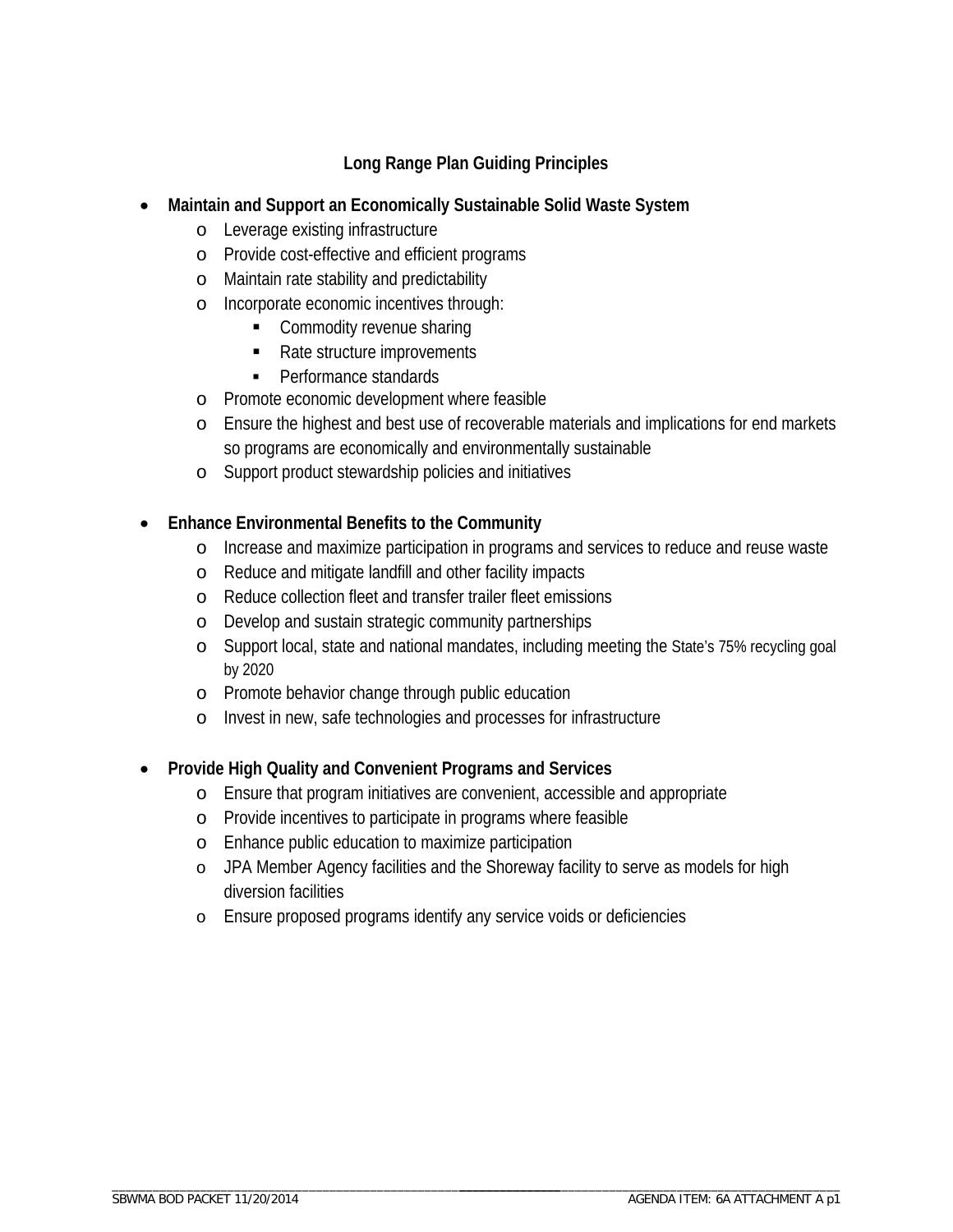#### **Long Range Plan Guiding Principles**

#### **Maintain and Support an Economically Sustainable Solid Waste System**

- o Leverage existing infrastructure
- o Provide cost-effective and efficient programs
- o Maintain rate stability and predictability
- o Incorporate economic incentives through:
	- **Commodity revenue sharing**
	- Rate structure improvements
	- Performance standards
- o Promote economic development where feasible
- o Ensure the highest and best use of recoverable materials and implications for end markets so programs are economically and environmentally sustainable
- o Support product stewardship policies and initiatives

#### **Enhance Environmental Benefits to the Community**

- o Increase and maximize participation in programs and services to reduce and reuse waste
- o Reduce and mitigate landfill and other facility impacts
- o Reduce collection fleet and transfer trailer fleet emissions
- o Develop and sustain strategic community partnerships
- o Support local, state and national mandates, including meeting the State's 75% recycling goal by 2020
- o Promote behavior change through public education
- o Invest in new, safe technologies and processes for infrastructure

#### **Provide High Quality and Convenient Programs and Services**

- o Ensure that program initiatives are convenient, accessible and appropriate
- o Provide incentives to participate in programs where feasible
- o Enhance public education to maximize participation
- o JPA Member Agency facilities and the Shoreway facility to serve as models for high diversion facilities
- o Ensure proposed programs identify any service voids or deficiencies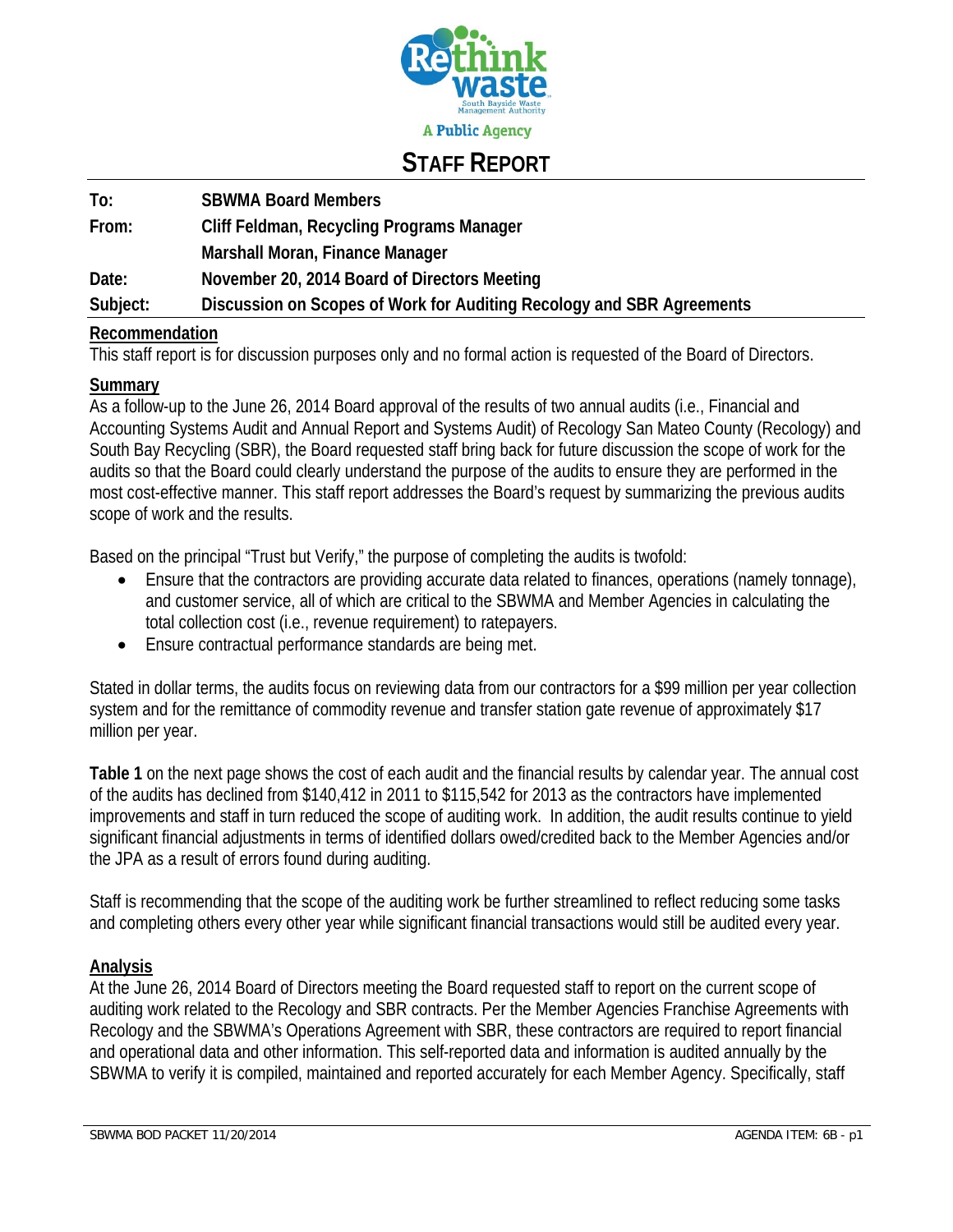

### **STAFF REPORT**

| To:      | <b>SBWMA Board Members</b>                                            |
|----------|-----------------------------------------------------------------------|
| From:    | Cliff Feldman, Recycling Programs Manager                             |
|          | Marshall Moran, Finance Manager                                       |
| Date:    | November 20, 2014 Board of Directors Meeting                          |
| Subject: | Discussion on Scopes of Work for Auditing Recology and SBR Agreements |
|          |                                                                       |

#### **Recommendation**

This staff report is for discussion purposes only and no formal action is requested of the Board of Directors.

#### **Summary**

As a follow-up to the June 26, 2014 Board approval of the results of two annual audits (i.e., Financial and Accounting Systems Audit and Annual Report and Systems Audit) of Recology San Mateo County (Recology) and South Bay Recycling (SBR), the Board requested staff bring back for future discussion the scope of work for the audits so that the Board could clearly understand the purpose of the audits to ensure they are performed in the most cost-effective manner. This staff report addresses the Board's request by summarizing the previous audits scope of work and the results.

Based on the principal "Trust but Verify," the purpose of completing the audits is twofold:

- Ensure that the contractors are providing accurate data related to finances, operations (namely tonnage), and customer service, all of which are critical to the SBWMA and Member Agencies in calculating the total collection cost (i.e., revenue requirement) to ratepayers.
- Ensure contractual performance standards are being met.

Stated in dollar terms, the audits focus on reviewing data from our contractors for a \$99 million per year collection system and for the remittance of commodity revenue and transfer station gate revenue of approximately \$17 million per year.

**Table 1** on the next page shows the cost of each audit and the financial results by calendar year. The annual cost of the audits has declined from \$140,412 in 2011 to \$115,542 for 2013 as the contractors have implemented improvements and staff in turn reduced the scope of auditing work. In addition, the audit results continue to yield significant financial adjustments in terms of identified dollars owed/credited back to the Member Agencies and/or the JPA as a result of errors found during auditing.

Staff is recommending that the scope of the auditing work be further streamlined to reflect reducing some tasks and completing others every other year while significant financial transactions would still be audited every year.

#### **Analysis**

At the June 26, 2014 Board of Directors meeting the Board requested staff to report on the current scope of auditing work related to the Recology and SBR contracts. Per the Member Agencies Franchise Agreements with Recology and the SBWMA's Operations Agreement with SBR, these contractors are required to report financial and operational data and other information. This self-reported data and information is audited annually by the SBWMA to verify it is compiled, maintained and reported accurately for each Member Agency. Specifically, staff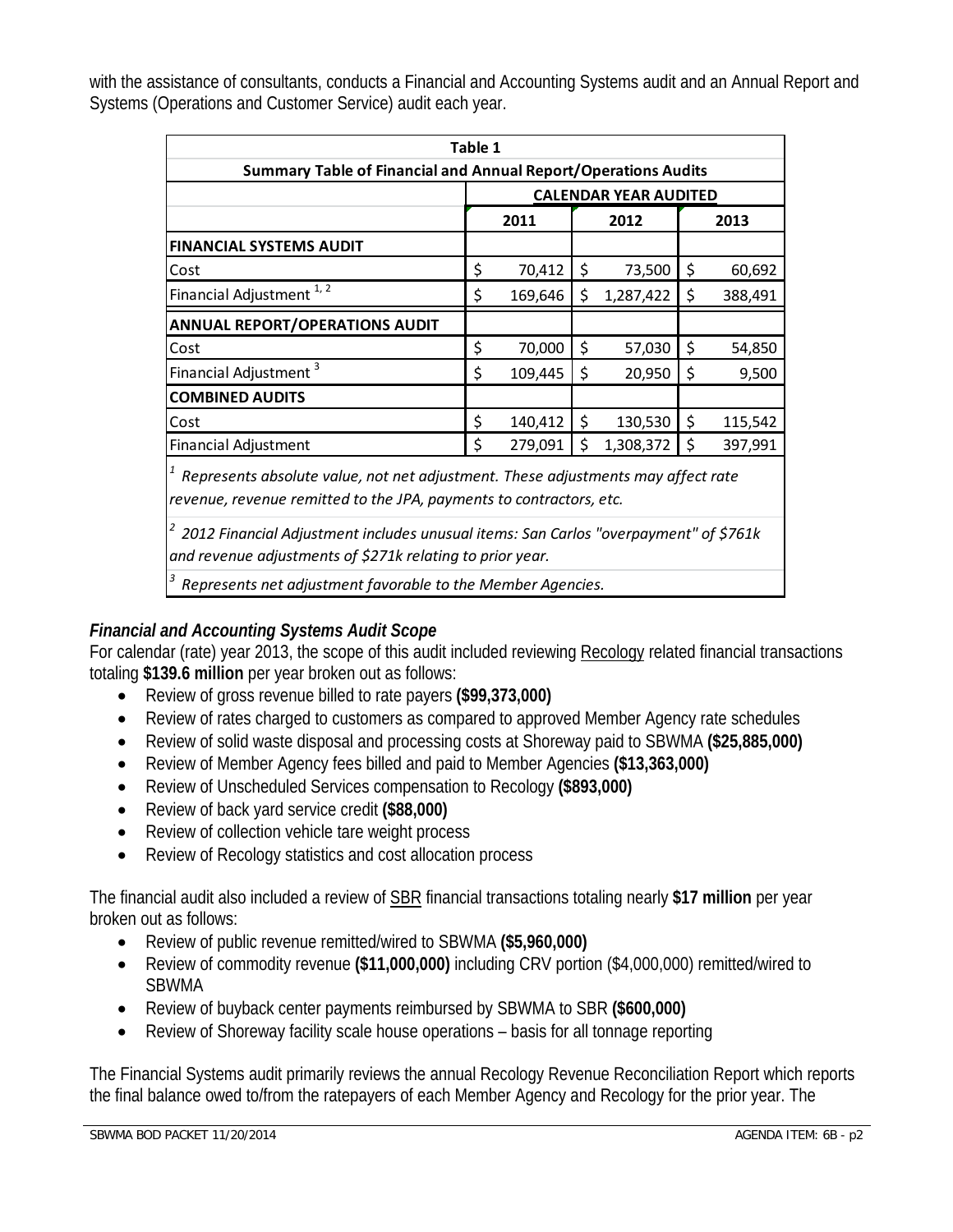| Table 1                                                                                                                                                 |                              |         |    |           |    |         |
|---------------------------------------------------------------------------------------------------------------------------------------------------------|------------------------------|---------|----|-----------|----|---------|
| <b>Summary Table of Financial and Annual Report/Operations Audits</b>                                                                                   |                              |         |    |           |    |         |
|                                                                                                                                                         | <b>CALENDAR YEAR AUDITED</b> |         |    |           |    |         |
|                                                                                                                                                         | 2011<br>2012                 |         |    | 2013      |    |         |
| <b>FINANCIAL SYSTEMS AUDIT</b>                                                                                                                          |                              |         |    |           |    |         |
| Cost                                                                                                                                                    | \$                           | 70,412  | \$ | 73,500    | \$ | 60,692  |
| Financial Adjustment <sup>1,2</sup>                                                                                                                     | \$                           | 169,646 | \$ | 1,287,422 | \$ | 388,491 |
| <b>ANNUAL REPORT/OPERATIONS AUDIT</b>                                                                                                                   |                              |         |    |           |    |         |
| Cost                                                                                                                                                    | \$                           | 70,000  | \$ | 57,030    | \$ | 54,850  |
| Financial Adjustment <sup>3</sup>                                                                                                                       | \$                           | 109,445 | \$ | 20,950    | \$ | 9,500   |
| <b>COMBINED AUDITS</b>                                                                                                                                  |                              |         |    |           |    |         |
| Cost                                                                                                                                                    | \$                           | 140,412 | \$ | 130,530   | \$ | 115,542 |
| <b>Financial Adjustment</b>                                                                                                                             | \$                           | 279,091 | \$ | 1,308,372 | Ś  | 397,991 |
| Represents absolute value, not net adjustment. These adjustments may affect rate<br>revenue, revenue remitted to the JPA, payments to contractors, etc. |                              |         |    |           |    |         |
| 2012 Financial Adjustment includes unusual items: San Carlos "overpayment" of \$761k                                                                    |                              |         |    |           |    |         |

with the assistance of consultants, conducts a Financial and Accounting Systems audit and an Annual Report and Systems (Operations and Customer Service) audit each year.

*and revenue adjustments of \$271k relating to prior year.*

*<sup>3</sup> Represents net adjustment favorable to the Member Agencies.*

#### *Financial and Accounting Systems Audit Scope*

For calendar (rate) year 2013, the scope of this audit included reviewing Recology related financial transactions totaling **\$139.6 million** per year broken out as follows:

- Review of gross revenue billed to rate payers **(\$99,373,000)**
- Review of rates charged to customers as compared to approved Member Agency rate schedules
- Review of solid waste disposal and processing costs at Shoreway paid to SBWMA **(\$25,885,000)**
- Review of Member Agency fees billed and paid to Member Agencies **(\$13,363,000)**
- Review of Unscheduled Services compensation to Recology **(\$893,000)**
- Review of back yard service credit **(\$88,000)**
- Review of collection vehicle tare weight process
- Review of Recology statistics and cost allocation process

The financial audit also included a review of SBR financial transactions totaling nearly **\$17 million** per year broken out as follows:

- Review of public revenue remitted/wired to SBWMA **(\$5,960,000)**
- Review of commodity revenue **(\$11,000,000)** including CRV portion (\$4,000,000) remitted/wired to SBWMA
- Review of buyback center payments reimbursed by SBWMA to SBR **(\$600,000)**
- Review of Shoreway facility scale house operations basis for all tonnage reporting

The Financial Systems audit primarily reviews the annual Recology Revenue Reconciliation Report which reports the final balance owed to/from the ratepayers of each Member Agency and Recology for the prior year. The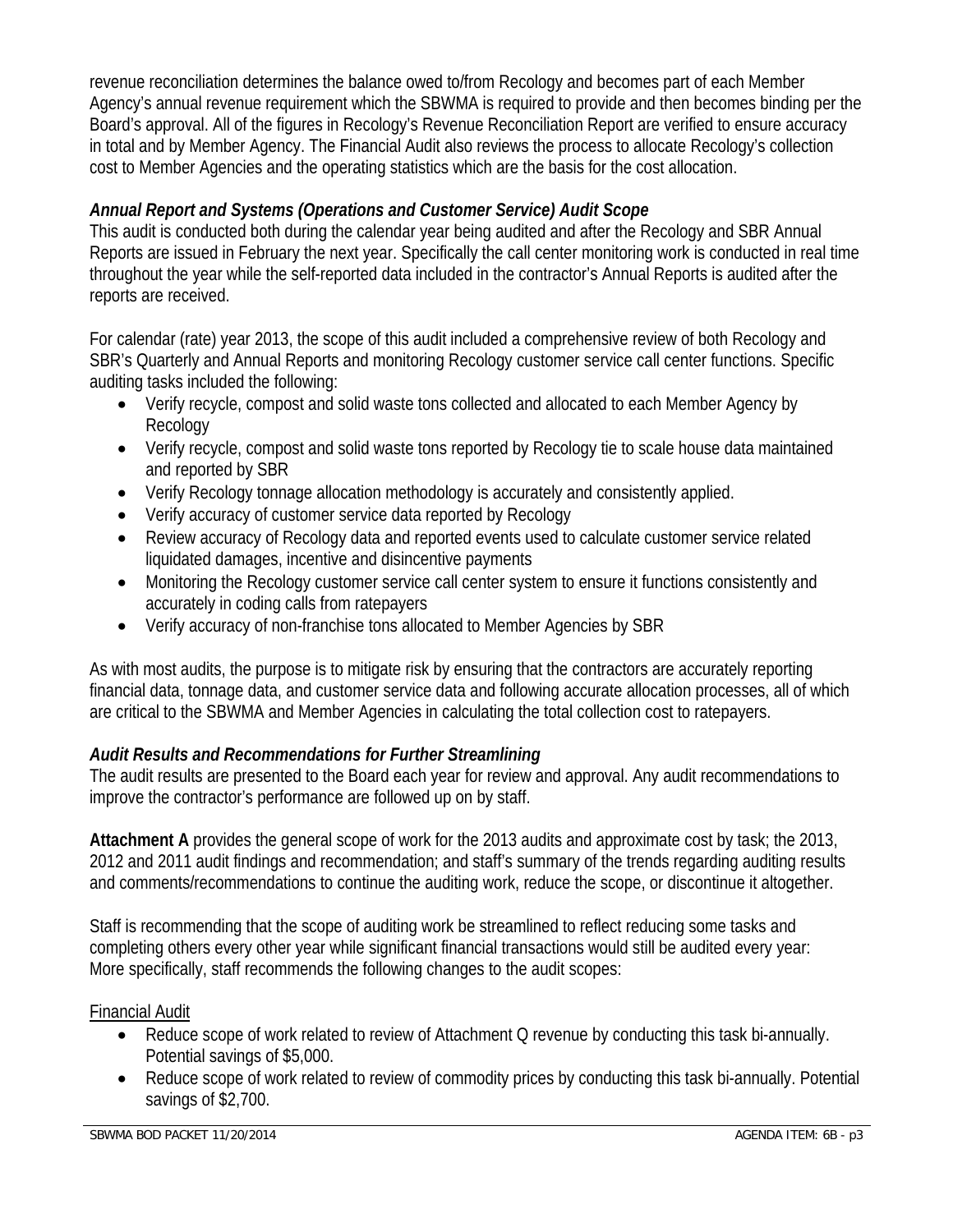revenue reconciliation determines the balance owed to/from Recology and becomes part of each Member Agency's annual revenue requirement which the SBWMA is required to provide and then becomes binding per the Board's approval. All of the figures in Recology's Revenue Reconciliation Report are verified to ensure accuracy in total and by Member Agency. The Financial Audit also reviews the process to allocate Recology's collection cost to Member Agencies and the operating statistics which are the basis for the cost allocation.

#### *Annual Report and Systems (Operations and Customer Service) Audit Scope*

This audit is conducted both during the calendar year being audited and after the Recology and SBR Annual Reports are issued in February the next year. Specifically the call center monitoring work is conducted in real time throughout the year while the self-reported data included in the contractor's Annual Reports is audited after the reports are received.

For calendar (rate) year 2013, the scope of this audit included a comprehensive review of both Recology and SBR's Quarterly and Annual Reports and monitoring Recology customer service call center functions. Specific auditing tasks included the following:

- Verify recycle, compost and solid waste tons collected and allocated to each Member Agency by Recology
- Verify recycle, compost and solid waste tons reported by Recology tie to scale house data maintained and reported by SBR
- Verify Recology tonnage allocation methodology is accurately and consistently applied.
- Verify accuracy of customer service data reported by Recology
- Review accuracy of Recology data and reported events used to calculate customer service related liquidated damages, incentive and disincentive payments
- Monitoring the Recology customer service call center system to ensure it functions consistently and accurately in coding calls from ratepayers
- Verify accuracy of non-franchise tons allocated to Member Agencies by SBR

As with most audits, the purpose is to mitigate risk by ensuring that the contractors are accurately reporting financial data, tonnage data, and customer service data and following accurate allocation processes, all of which are critical to the SBWMA and Member Agencies in calculating the total collection cost to ratepayers.

#### *Audit Results and Recommendations for Further Streamlining*

The audit results are presented to the Board each year for review and approval. Any audit recommendations to improve the contractor's performance are followed up on by staff.

**Attachment A** provides the general scope of work for the 2013 audits and approximate cost by task; the 2013, 2012 and 2011 audit findings and recommendation; and staff's summary of the trends regarding auditing results and comments/recommendations to continue the auditing work, reduce the scope, or discontinue it altogether.

Staff is recommending that the scope of auditing work be streamlined to reflect reducing some tasks and completing others every other year while significant financial transactions would still be audited every year: More specifically, staff recommends the following changes to the audit scopes:

#### Financial Audit

- Reduce scope of work related to review of Attachment Q revenue by conducting this task bi-annually. Potential savings of \$5,000.
- Reduce scope of work related to review of commodity prices by conducting this task bi-annually. Potential savings of \$2,700.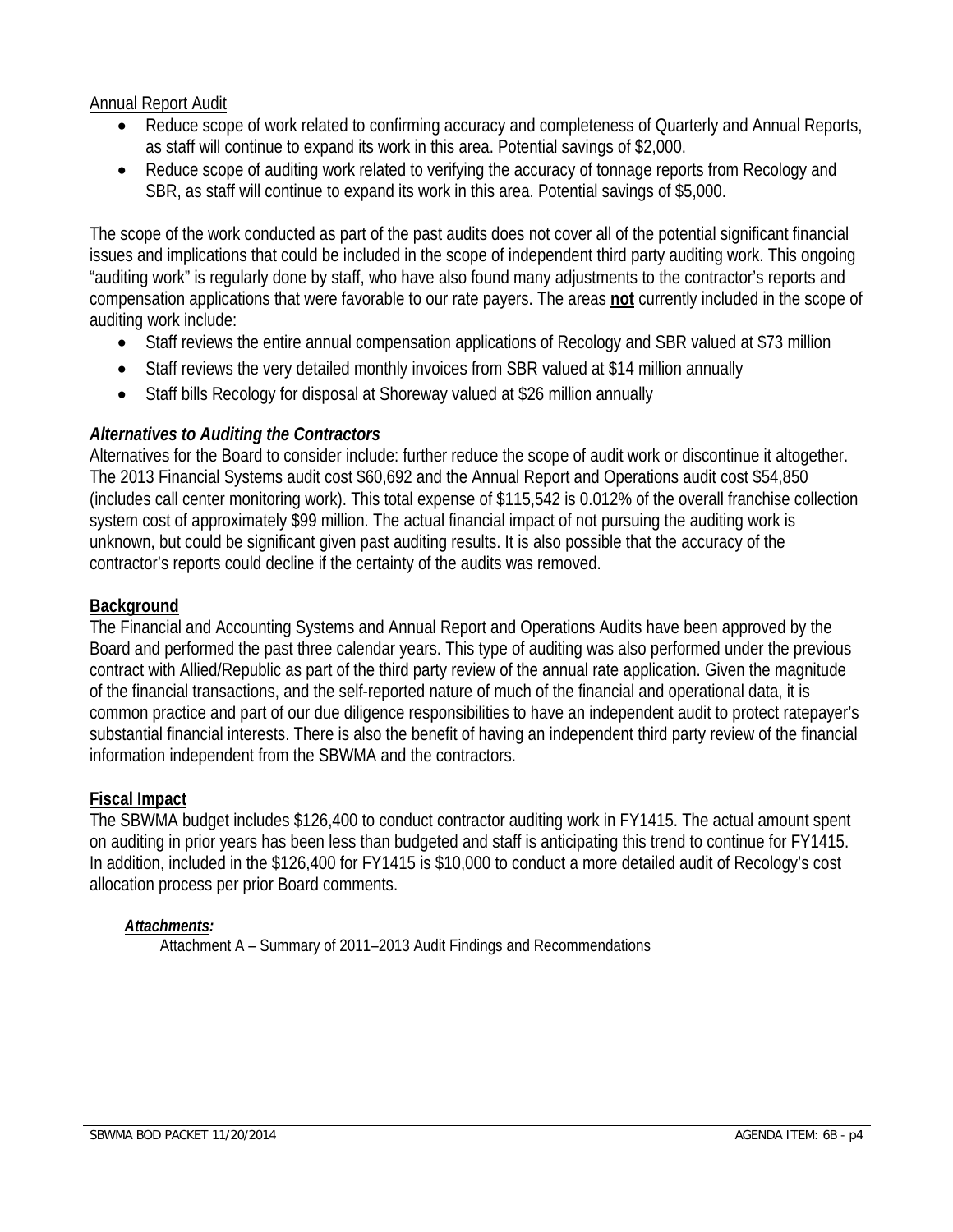#### Annual Report Audit

- Reduce scope of work related to confirming accuracy and completeness of Quarterly and Annual Reports, as staff will continue to expand its work in this area. Potential savings of \$2,000.
- Reduce scope of auditing work related to verifying the accuracy of tonnage reports from Recology and SBR, as staff will continue to expand its work in this area. Potential savings of \$5,000.

The scope of the work conducted as part of the past audits does not cover all of the potential significant financial issues and implications that could be included in the scope of independent third party auditing work. This ongoing "auditing work" is regularly done by staff, who have also found many adjustments to the contractor's reports and compensation applications that were favorable to our rate payers. The areas **not** currently included in the scope of auditing work include:

- Staff reviews the entire annual compensation applications of Recology and SBR valued at \$73 million
- Staff reviews the very detailed monthly invoices from SBR valued at \$14 million annually
- Staff bills Recology for disposal at Shoreway valued at \$26 million annually

#### *Alternatives to Auditing the Contractors*

Alternatives for the Board to consider include: further reduce the scope of audit work or discontinue it altogether. The 2013 Financial Systems audit cost \$60,692 and the Annual Report and Operations audit cost \$54,850 (includes call center monitoring work). This total expense of \$115,542 is 0.012% of the overall franchise collection system cost of approximately \$99 million. The actual financial impact of not pursuing the auditing work is unknown, but could be significant given past auditing results. It is also possible that the accuracy of the contractor's reports could decline if the certainty of the audits was removed.

#### **Background**

The Financial and Accounting Systems and Annual Report and Operations Audits have been approved by the Board and performed the past three calendar years. This type of auditing was also performed under the previous contract with Allied/Republic as part of the third party review of the annual rate application. Given the magnitude of the financial transactions, and the self-reported nature of much of the financial and operational data, it is common practice and part of our due diligence responsibilities to have an independent audit to protect ratepayer's substantial financial interests. There is also the benefit of having an independent third party review of the financial information independent from the SBWMA and the contractors.

#### **Fiscal Impact**

The SBWMA budget includes \$126,400 to conduct contractor auditing work in FY1415. The actual amount spent on auditing in prior years has been less than budgeted and staff is anticipating this trend to continue for FY1415. In addition, included in the \$126,400 for FY1415 is \$10,000 to conduct a more detailed audit of Recology's cost allocation process per prior Board comments.

#### *Attachments:*

Attachment A – Summary of 2011–2013 Audit Findings and Recommendations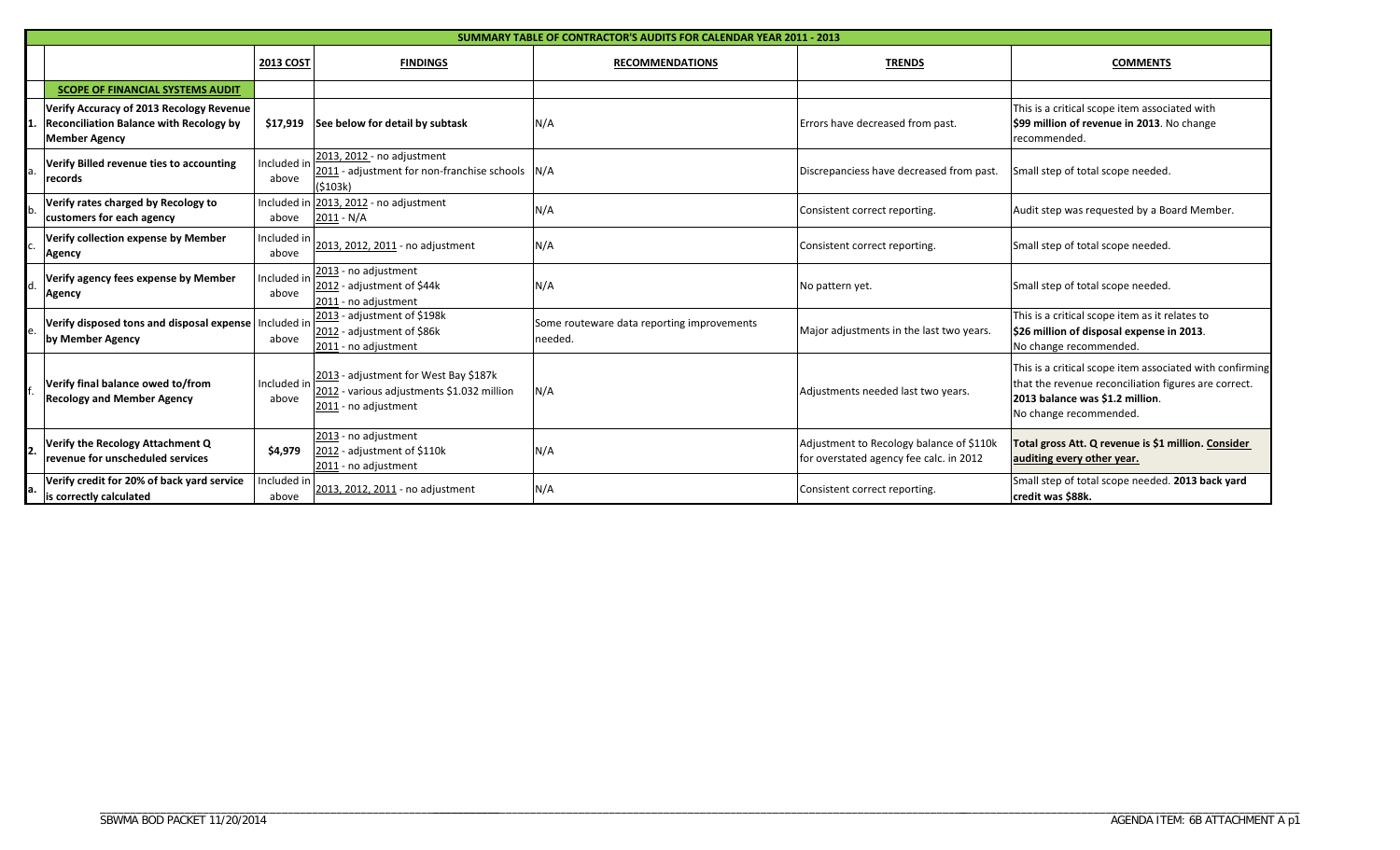| SUMMARY TABLE OF CONTRACTOR'S AUDITS FOR CALENDAR YEAR 2011 - 2013                                                 |                      |                                                                                                             |                                                       |                                                                                     |                                                                                                                                                                               |  |  |
|--------------------------------------------------------------------------------------------------------------------|----------------------|-------------------------------------------------------------------------------------------------------------|-------------------------------------------------------|-------------------------------------------------------------------------------------|-------------------------------------------------------------------------------------------------------------------------------------------------------------------------------|--|--|
|                                                                                                                    | <b>2013 COST</b>     | <b>FINDINGS</b>                                                                                             | <b>TRENDS</b><br><b>RECOMMENDATIONS</b>               |                                                                                     | <b>COMMENTS</b>                                                                                                                                                               |  |  |
| <b>SCOPE OF FINANCIAL SYSTEMS AUDIT</b>                                                                            |                      |                                                                                                             |                                                       |                                                                                     |                                                                                                                                                                               |  |  |
| Verify Accuracy of 2013 Recology Revenue<br><b>Reconciliation Balance with Recology by</b><br><b>Member Agency</b> |                      | \$17,919 See below for detail by subtask                                                                    | N/A                                                   | Errors have decreased from past.                                                    | This is a critical scope item associated with<br>\$99 million of revenue in 2013. No change<br>recommended.                                                                   |  |  |
| Verify Billed revenue ties to accounting<br>records                                                                | Included in<br>above | 2013, 2012 - no adjustment<br>2011 - adjustment for non-franchise schools N/A<br>(5103k)                    |                                                       | Discrepanciess have decreased from past.                                            | Small step of total scope needed.                                                                                                                                             |  |  |
| Verify rates charged by Recology to<br>customers for each agency                                                   | above                | Included in 2013, 2012 - no adjustment<br>$2011 - N/A$                                                      | N/A                                                   | Consistent correct reporting.                                                       | Audit step was requested by a Board Member.                                                                                                                                   |  |  |
| Verify collection expense by Member<br><b>Agency</b>                                                               | Included in<br>above | 2013, 2012, 2011 - no adjustment                                                                            | N/A                                                   | Consistent correct reporting.                                                       | Small step of total scope needed.                                                                                                                                             |  |  |
| Verify agency fees expense by Member<br>Agency                                                                     | Included in<br>above | 2013 - no adjustment<br>2012 - adjustment of \$44k<br>2011 - no adjustment                                  | N/A                                                   | No pattern yet.                                                                     | Small step of total scope needed.                                                                                                                                             |  |  |
| Verify disposed tons and disposal expense   Included in<br>by Member Agency                                        | above                | 2013 - adjustment of \$198k<br>2012 - adjustment of \$86k<br>2011 - no adjustment                           | Some routeware data reporting improvements<br>needed. | Major adjustments in the last two years.                                            | This is a critical scope item as it relates to<br>\$26 million of disposal expense in 2013.<br>No change recommended.                                                         |  |  |
| Verify final balance owed to/from<br><b>Recology and Member Agency</b>                                             | Included in<br>above | 2013 - adjustment for West Bay \$187k<br>2012 - various adjustments \$1.032 million<br>2011 - no adjustment | N/A                                                   | Adjustments needed last two years.                                                  | This is a critical scope item associated with confirming<br>that the revenue reconciliation figures are correct.<br>2013 balance was \$1.2 million.<br>No change recommended. |  |  |
| Verify the Recology Attachment Q<br>revenue for unscheduled services                                               | \$4,979              | 2013 - no adjustment<br>2012 - adjustment of \$110k<br>2011 - no adjustment                                 | N/A                                                   | Adjustment to Recology balance of \$110k<br>for overstated agency fee calc. in 2012 | Total gross Att. Q revenue is \$1 million. Consider<br>auditing every other year.                                                                                             |  |  |
| Verify credit for 20% of back yard service<br>is correctly calculated                                              | Included in<br>above | 2013, 2012, 2011 - no adjustment                                                                            | N/A                                                   | Consistent correct reporting.                                                       | Small step of total scope needed. 2013 back yard<br>credit was \$88k.                                                                                                         |  |  |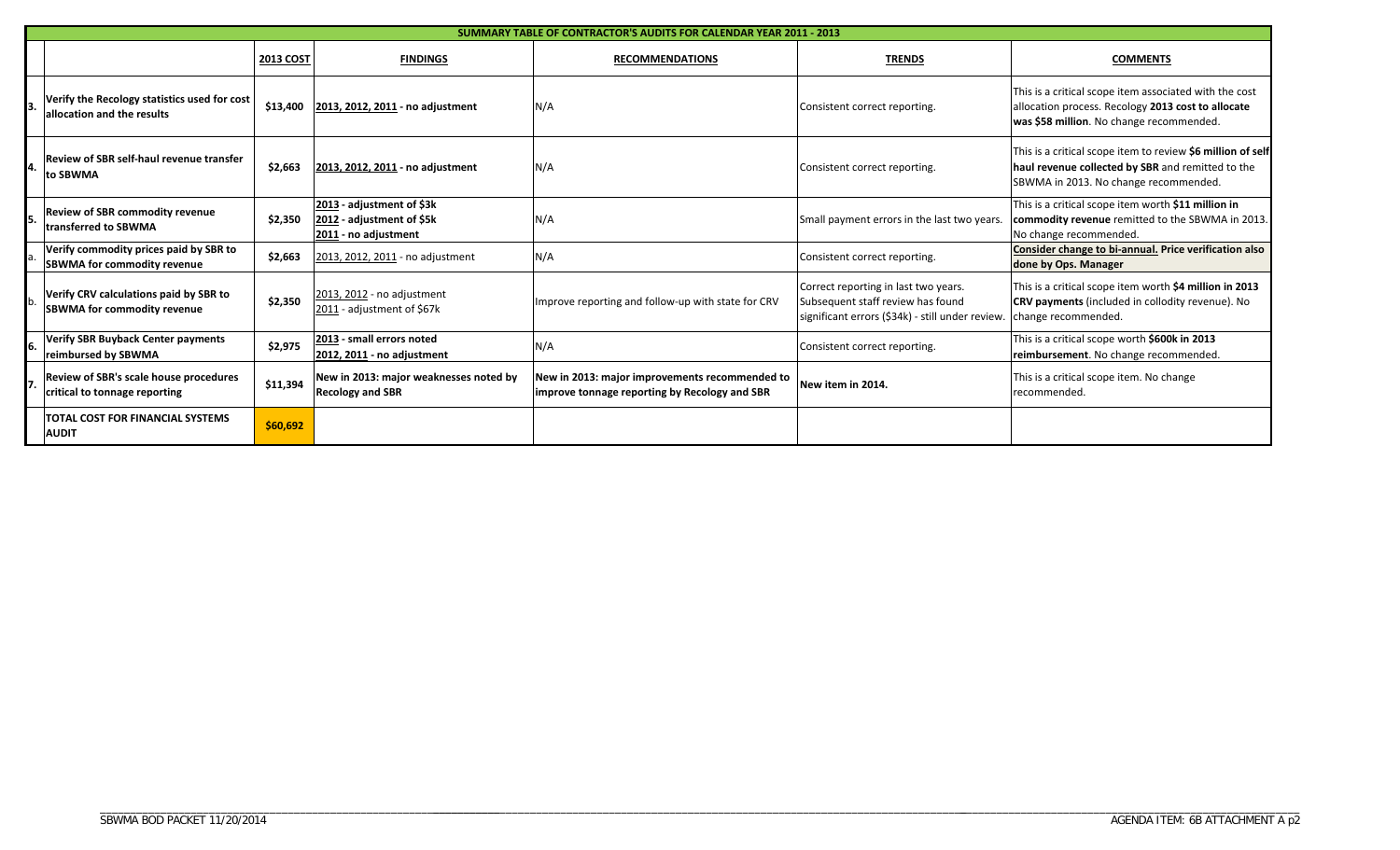|    | <b>SUMMARY TABLE OF CONTRACTOR'S AUDITS FOR CALENDAR YEAR 2011 - 2013</b>    |                  |                                                                                |                                                                                                 |                                                                                                                               |                                                                                                                                                           |  |  |
|----|------------------------------------------------------------------------------|------------------|--------------------------------------------------------------------------------|-------------------------------------------------------------------------------------------------|-------------------------------------------------------------------------------------------------------------------------------|-----------------------------------------------------------------------------------------------------------------------------------------------------------|--|--|
|    |                                                                              | <b>2013 COST</b> | <b>FINDINGS</b>                                                                | <b>RECOMMENDATIONS</b>                                                                          | <b>TRENDS</b>                                                                                                                 | <b>COMMENTS</b>                                                                                                                                           |  |  |
|    | Verify the Recology statistics used for cost<br>allocation and the results   | \$13,400         | 2013, 2012, 2011 - no adjustment                                               | N/A                                                                                             | Consistent correct reporting.                                                                                                 | This is a critical scope item associated with the cost<br>allocation process. Recology 2013 cost to allocate<br>was \$58 million. No change recommended.  |  |  |
|    | <b>Review of SBR self-haul revenue transfer</b><br>to SBWMA                  | \$2,663          | 2013, 2012, 2011 - no adjustment                                               | N/A                                                                                             | Consistent correct reporting.                                                                                                 | This is a critical scope item to review \$6 million of self<br>haul revenue collected by SBR and remitted to the<br>SBWMA in 2013. No change recommended. |  |  |
|    | <b>Review of SBR commodity revenue</b><br><b>Itransferred to SBWMA</b>       | \$2,350          | 2013 - adjustment of \$3k<br>2012 - adjustment of \$5k<br>2011 - no adjustment | N/A                                                                                             | Small payment errors in the last two years.                                                                                   | This is a critical scope item worth \$11 million in<br>commodity revenue remitted to the SBWMA in 2013.<br>No change recommended.                         |  |  |
|    | Verify commodity prices paid by SBR to<br><b>SBWMA for commodity revenue</b> | \$2,663          | 2013, 2012, 2011 - no adjustment                                               | N/A                                                                                             | Consistent correct reporting.                                                                                                 | Consider change to bi-annual. Price verification also<br>done by Ops. Manager                                                                             |  |  |
|    | Verify CRV calculations paid by SBR to<br><b>SBWMA for commodity revenue</b> | \$2,350          | 2013, 2012 - no adjustment<br>2011 - adjustment of \$67k                       | Improve reporting and follow-up with state for CRV                                              | Correct reporting in last two years.<br>Subsequent staff review has found<br>significant errors (\$34k) - still under review. | This is a critical scope item worth \$4 million in 2013<br><b>CRV payments</b> (included in collodity revenue). No<br>change recommended.                 |  |  |
| 6. | <b>Verify SBR Buyback Center payments</b><br>reimbursed by SBWMA             | \$2,975          | 2013 - small errors noted<br>2012, 2011 - no adjustment                        | N/A                                                                                             | Consistent correct reporting.                                                                                                 | This is a critical scope worth \$600k in 2013<br>reimbursement. No change recommended.                                                                    |  |  |
|    | Review of SBR's scale house procedures<br>critical to tonnage reporting      | \$11,394         | New in 2013: major weaknesses noted by<br><b>Recology and SBR</b>              | New in 2013: major improvements recommended to<br>improve tonnage reporting by Recology and SBR | New item in 2014.                                                                                                             | This is a critical scope item. No change<br>recommended.                                                                                                  |  |  |
|    | <b>TOTAL COST FOR FINANCIAL SYSTEMS</b><br><b>AUDIT</b>                      | \$60,692         |                                                                                |                                                                                                 |                                                                                                                               |                                                                                                                                                           |  |  |